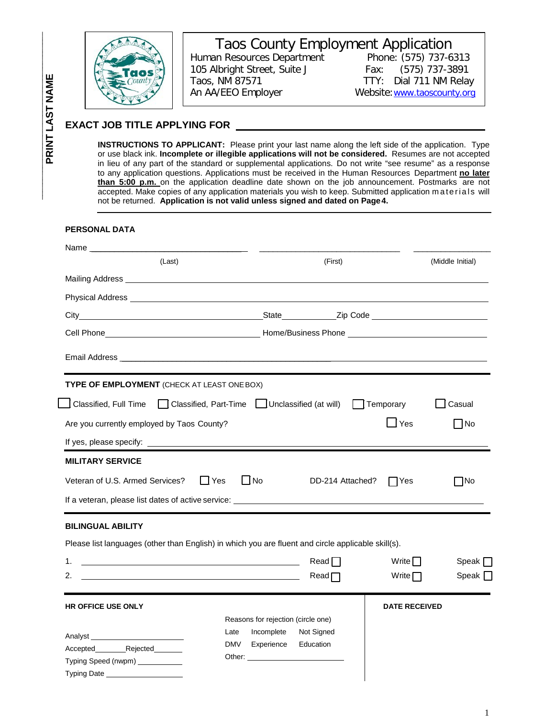

Taos County Employment Application<br>an Resources Department<br>Phone: (575) 737-6313 Human Resources Department 105 Albright Street, Suite J Fax: (575) 737-3891 Taos, NM 87571 TTY: Dial 711 NM Relay An AA/EEO Employer Website: www.taoscounty.org

## **EXACT JOB TITLE APPLYING FOR**

**INSTRUCTIONS TO APPLICANT:** Please print your last name along the left side of the application. Type or use black ink. **Incomplete or illegible applications will not be considered.** Resumes are not accepted in lieu of any part of the standard or supplemental applications. Do not write "see resume" as a response to any application questions. Applications must be received in the Human Resources Department **no later than 5:00 p.m.** on the application deadline date shown on the job announcement. Postmarks are not accepted. Make copies of any application materials you wish to keep. Submitted application materials will not be returned. **Application is not valid unless signed and dated on Page4.**

#### **PERSONAL DATA**

| (Last)                                                                                                                      |                                            | (First)           |                      | (Middle Initial) |
|-----------------------------------------------------------------------------------------------------------------------------|--------------------------------------------|-------------------|----------------------|------------------|
|                                                                                                                             |                                            |                   |                      |                  |
|                                                                                                                             |                                            |                   |                      |                  |
|                                                                                                                             |                                            |                   |                      |                  |
|                                                                                                                             |                                            |                   |                      |                  |
|                                                                                                                             |                                            |                   |                      |                  |
| <b>TYPE OF EMPLOYMENT</b> (CHECK AT LEAST ONE BOX)                                                                          |                                            |                   |                      |                  |
| <u>Supersified, Full Time</u> and Classified, Part-Time and Unclassified (at will) and Temporary                            |                                            |                   |                      | Casual           |
| Are you currently employed by Taos County?                                                                                  |                                            |                   | $\Box$ Yes           | $\Box$ No        |
|                                                                                                                             |                                            |                   |                      |                  |
| <b>MILITARY SERVICE</b>                                                                                                     |                                            |                   |                      |                  |
| Veteran of U.S. Armed Services?                                                                                             | $\overline{\phantom{a}}$ No<br>$\Box$ Yes  | DD-214 Attached?  | Yes                  | $\Box$ No        |
|                                                                                                                             |                                            |                   |                      |                  |
| <b>BILINGUAL ABILITY</b>                                                                                                    |                                            |                   |                      |                  |
| Please list languages (other than English) in which you are fluent and circle applicable skill(s).                          |                                            |                   |                      |                  |
| 1.<br><u> 1989 - Johann Barbara, martin amerikan basar dan berasal dan berasal dalam basar dalam basar dalam basar dala</u> |                                            | Read              | Write $\Box$         | Speak $\Box$     |
| 2.                                                                                                                          |                                            | Read <sub>1</sub> | Write $\Box$         | Speak $\Box$     |
| <b>HR OFFICE USE ONLY</b>                                                                                                   |                                            |                   | <b>DATE RECEIVED</b> |                  |
|                                                                                                                             | Reasons for rejection (circle one)         |                   |                      |                  |
|                                                                                                                             | Incomplete<br>Late                         | Not Signed        |                      |                  |
| Accepted Rejected                                                                                                           | DMV<br>Experience<br>Other: ______________ | Education         |                      |                  |
| Typing Speed (nwpm) ___________                                                                                             |                                            |                   |                      |                  |
| Typing Date ____________________                                                                                            |                                            |                   |                      |                  |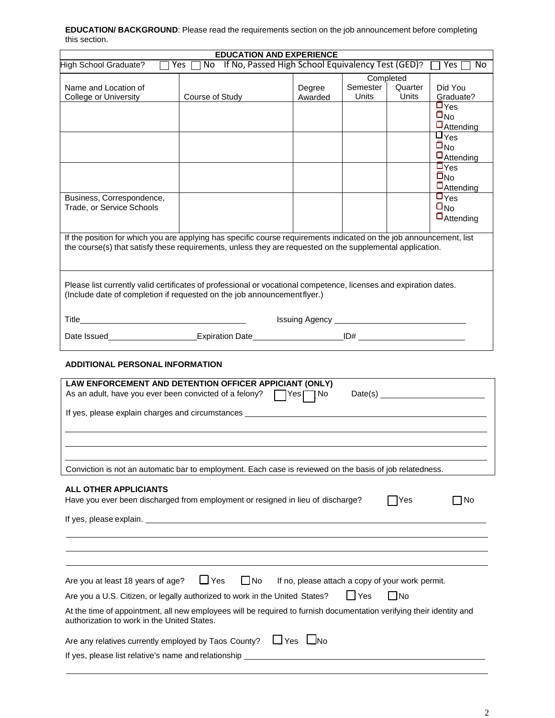| <b>EDUCATION/BACKGROUND:</b> Please read the requirements section on the job announcement before completing |  |
|-------------------------------------------------------------------------------------------------------------|--|
| this section.                                                                                               |  |

|                                                                                                                                                                                                                                  |            |                 | <b>EDUCATION AND EXPERIENCE</b>                            |                                       |                  |                                                                                                |
|----------------------------------------------------------------------------------------------------------------------------------------------------------------------------------------------------------------------------------|------------|-----------------|------------------------------------------------------------|---------------------------------------|------------------|------------------------------------------------------------------------------------------------|
| High School Graduate?                                                                                                                                                                                                            |            |                 | Yes □ No If No, Passed High School Equivalency Test (GED)? |                                       |                  | Yes  <br>No.                                                                                   |
| Name and Location of<br>College or University                                                                                                                                                                                    |            | Course of Study | Degree<br>Awarded                                          | Completed<br>Semester<br><b>Units</b> | Quarter<br>Units | Did You<br>Graduate?                                                                           |
|                                                                                                                                                                                                                                  |            |                 |                                                            |                                       |                  | $\square_{\text{Yes}}$<br>$\square_{\text{No}}$<br>$\Box$ Attending                            |
|                                                                                                                                                                                                                                  |            |                 |                                                            |                                       |                  | $\overline{\mathsf{L}_{\mathsf{Yes}}}$<br>$\square_{\text{No}}$<br>$\Box$ Attending            |
|                                                                                                                                                                                                                                  |            |                 |                                                            |                                       |                  | $\overline{\mathsf{D}_{\mathsf{Yes}}}$<br>$\overline{\square}_{\text{No}}$<br>$\Box$ Attending |
| Business, Correspondence,<br>Trade, or Service Schools                                                                                                                                                                           |            |                 |                                                            |                                       |                  | $\overline{\mathsf{L}_{\mathsf{Yes}}}$<br>$\bar{\Box}_{\rm No}$<br>$\Box$ Attending            |
| If the position for which you are applying has specific course requirements indicated on the job announcement, list<br>the course(s) that satisfy these requirements, unless they are requested on the supplemental application. |            |                 |                                                            |                                       |                  |                                                                                                |
| Please list currently valid certificates of professional or vocational competence, licenses and expiration dates.<br>(Include date of completion if requested on the job announcementflyer.)                                     |            |                 |                                                            |                                       |                  |                                                                                                |
|                                                                                                                                                                                                                                  |            |                 |                                                            |                                       |                  |                                                                                                |
|                                                                                                                                                                                                                                  |            |                 |                                                            |                                       |                  |                                                                                                |
| <b>ADDITIONAL PERSONAL INFORMATION</b>                                                                                                                                                                                           |            |                 |                                                            |                                       |                  |                                                                                                |
| LAW ENFORCEMENT AND DETENTION OFFICER APPICIANT (ONLY)<br>As an adult, have you ever been convicted of a felony? $\Box$ Yes $\Box$ No                                                                                            |            |                 |                                                            |                                       |                  | Date(s)                                                                                        |
|                                                                                                                                                                                                                                  |            |                 |                                                            |                                       |                  |                                                                                                |
|                                                                                                                                                                                                                                  |            |                 |                                                            |                                       |                  |                                                                                                |
| Conviction is not an automatic bar to employment. Each case is reviewed on the basis of job relatedness.                                                                                                                         |            |                 |                                                            |                                       |                  |                                                                                                |
| <b>ALL OTHER APPLICIANTS</b><br>Have you ever been discharged from employment or resigned in lieu of discharge?                                                                                                                  |            |                 |                                                            |                                       | Yes              | ∩No                                                                                            |
|                                                                                                                                                                                                                                  |            |                 |                                                            |                                       |                  |                                                                                                |
|                                                                                                                                                                                                                                  |            |                 |                                                            |                                       |                  |                                                                                                |
| Are you at least 18 years of age?                                                                                                                                                                                                | $\Box$ Yes | $\Box$ No       | If no, please attach a copy of your work permit.           |                                       |                  |                                                                                                |
| Are you a U.S. Citizen, or legally authorized to work in the United States?                                                                                                                                                      |            |                 |                                                            | <b>I</b> Yes                          | - INo            |                                                                                                |
| At the time of appointment, all new employees will be required to furnish documentation verifying their identity and<br>authorization to work in the United States.                                                              |            |                 |                                                            |                                       |                  |                                                                                                |
| Are any relatives currently employed by Taos County?                                                                                                                                                                             |            |                 | $\Box$ Yes $\Box$ No                                       |                                       |                  |                                                                                                |
| If yes, please list relative's name and relationship ____                                                                                                                                                                        |            |                 |                                                            |                                       |                  |                                                                                                |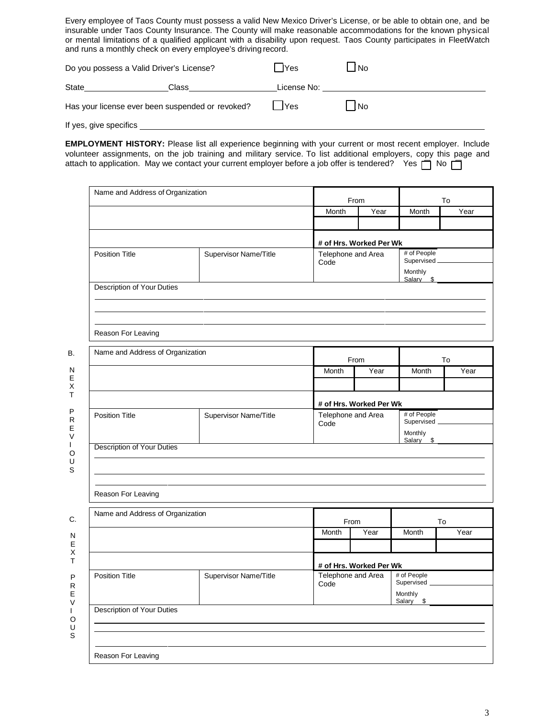Every employee of Taos County must possess a valid New Mexico Driver's License, or be able to obtain one, and be insurable under Taos County Insurance. The County will make reasonable accommodations for the known physical or mental limitations of a qualified applicant with a disability upon request. Taos County participates in FleetWatch and runs a monthly check on every employee's driving record.

| Do you possess a Valid Driver's License?         |       | lYes        | ⊿No |
|--------------------------------------------------|-------|-------------|-----|
| State                                            | Class | License No: |     |
| Has your license ever been suspended or revoked? |       | <b>IYes</b> | No  |
| If yes, give specifics                           |       |             |     |

attach to application. May we contact your current employer before a job offer is tendered? Yes  $\Box$  No  $\Box$ **EMPLOYMENT HISTORY:** Please list all experience beginning with your current or most recent employer. Include volunteer assignments, on the job training and military service. To list additional employers, copy this page and

|                                   | Name and Address of Organization | From                       |                         | To                         |      |  |
|-----------------------------------|----------------------------------|----------------------------|-------------------------|----------------------------|------|--|
|                                   |                                  | Month                      | Year                    | Month                      | Year |  |
|                                   |                                  |                            |                         |                            |      |  |
|                                   |                                  |                            | # of Hrs. Worked Per Wk |                            |      |  |
| <b>Position Title</b>             | Supervisor Name/Title            | Telephone and Area<br>Code |                         | # of People<br>Supervised. |      |  |
|                                   |                                  |                            |                         | Monthly<br>Salary \$       |      |  |
| Description of Your Duties        |                                  |                            |                         |                            |      |  |
|                                   |                                  |                            |                         |                            |      |  |
| Reason For Leaving                |                                  |                            |                         |                            |      |  |
| Name and Address of Organization  |                                  |                            | From                    |                            | To   |  |
|                                   |                                  | Month                      | Year                    | Month                      | Year |  |
|                                   |                                  |                            |                         |                            |      |  |
|                                   |                                  |                            | # of Hrs. Worked Per Wk |                            |      |  |
| <b>Position Title</b>             | Supervisor Name/Title            | Telephone and Area<br>Code |                         | # of People<br>Supervised  |      |  |
|                                   |                                  |                            |                         | Monthly<br>Salary \$       |      |  |
| <b>Description of Your Duties</b> |                                  |                            |                         |                            |      |  |
|                                   |                                  |                            |                         |                            |      |  |
|                                   |                                  |                            |                         |                            |      |  |
| Reason For Leaving                |                                  |                            |                         |                            |      |  |
|                                   |                                  | From                       |                         |                            | To   |  |
| Name and Address of Organization  |                                  |                            |                         | Month                      |      |  |
|                                   |                                  | Month                      | Year                    |                            | Year |  |
|                                   |                                  |                            |                         |                            |      |  |
|                                   |                                  |                            | # of Hrs. Worked Per Wk |                            |      |  |
| <b>Position Title</b>             | Supervisor Name/Title            | Telephone and Area<br>Code |                         | # of People<br>Supervised  |      |  |
|                                   |                                  |                            |                         | Monthly<br>Salary \$       |      |  |
| Description of Your Duties        |                                  |                            |                         |                            |      |  |
|                                   |                                  |                            |                         |                            |      |  |

3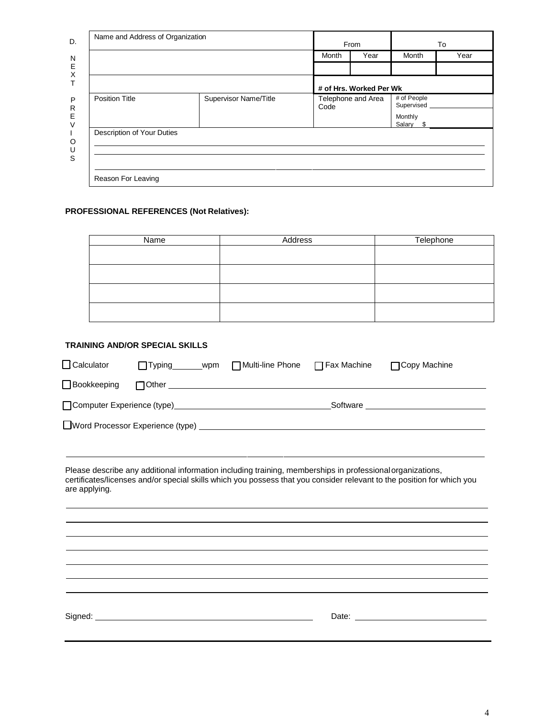|                            |                       | From  |                         | To                                                |      |
|----------------------------|-----------------------|-------|-------------------------|---------------------------------------------------|------|
|                            |                       | Month | Year                    | Month                                             | Year |
|                            |                       |       | # of Hrs. Worked Per Wk |                                                   |      |
| <b>Position Title</b>      | Supervisor Name/Title | Code  | Telephone and Area      | # of People<br>Supervised<br>Monthly<br>Salary \$ |      |
| Description of Your Duties |                       |       |                         |                                                   |      |

## **PROFESSIONAL REFERENCES (Not Relatives):**

| Name | Address | Telephone |
|------|---------|-----------|
|      |         |           |
|      |         |           |
|      |         |           |
|      |         |           |

#### **TRAINING AND/OR SPECIAL SKILLS**

| $\Box$ Calculator |                                                                                                                                                                                                                                      | □ Typing _______wpm □ Multi-line Phone                                                                                                                                                                                                                                                                                                                             | $\Box$ Fax Machine | □ Copy Machine                                                                                                                                                                                                                 |
|-------------------|--------------------------------------------------------------------------------------------------------------------------------------------------------------------------------------------------------------------------------------|--------------------------------------------------------------------------------------------------------------------------------------------------------------------------------------------------------------------------------------------------------------------------------------------------------------------------------------------------------------------|--------------------|--------------------------------------------------------------------------------------------------------------------------------------------------------------------------------------------------------------------------------|
| □ Bookkeeping     |                                                                                                                                                                                                                                      | $\begin{picture}(150,10) \put(0,0){\vector(1,0){100}} \put(15,0){\vector(1,0){100}} \put(15,0){\vector(1,0){100}} \put(15,0){\vector(1,0){100}} \put(15,0){\vector(1,0){100}} \put(15,0){\vector(1,0){100}} \put(15,0){\vector(1,0){100}} \put(15,0){\vector(1,0){100}} \put(15,0){\vector(1,0){100}} \put(15,0){\vector(1,0){100}} \put(15,0){\vector(1,0){100}}$ |                    |                                                                                                                                                                                                                                |
|                   |                                                                                                                                                                                                                                      |                                                                                                                                                                                                                                                                                                                                                                    |                    |                                                                                                                                                                                                                                |
|                   |                                                                                                                                                                                                                                      |                                                                                                                                                                                                                                                                                                                                                                    |                    |                                                                                                                                                                                                                                |
|                   |                                                                                                                                                                                                                                      |                                                                                                                                                                                                                                                                                                                                                                    |                    |                                                                                                                                                                                                                                |
| are applying.     | Please describe any additional information including training, memberships in professional organizations,                                                                                                                            |                                                                                                                                                                                                                                                                                                                                                                    |                    | certificates/licenses and/or special skills which you possess that you consider relevant to the position for which you                                                                                                         |
|                   |                                                                                                                                                                                                                                      |                                                                                                                                                                                                                                                                                                                                                                    |                    |                                                                                                                                                                                                                                |
|                   |                                                                                                                                                                                                                                      |                                                                                                                                                                                                                                                                                                                                                                    |                    |                                                                                                                                                                                                                                |
|                   |                                                                                                                                                                                                                                      |                                                                                                                                                                                                                                                                                                                                                                    |                    |                                                                                                                                                                                                                                |
|                   |                                                                                                                                                                                                                                      |                                                                                                                                                                                                                                                                                                                                                                    |                    |                                                                                                                                                                                                                                |
|                   |                                                                                                                                                                                                                                      |                                                                                                                                                                                                                                                                                                                                                                    |                    |                                                                                                                                                                                                                                |
|                   | Signed: <u>Contract Contract Contract Contract Contract Contract Contract Contract Contract Contract Contract Contract Contract Contract Contract Contract Contract Contract Contract Contract Contract Contract Contract Contra</u> |                                                                                                                                                                                                                                                                                                                                                                    |                    | Date: the contract of the contract of the contract of the contract of the contract of the contract of the contract of the contract of the contract of the contract of the contract of the contract of the contract of the cont |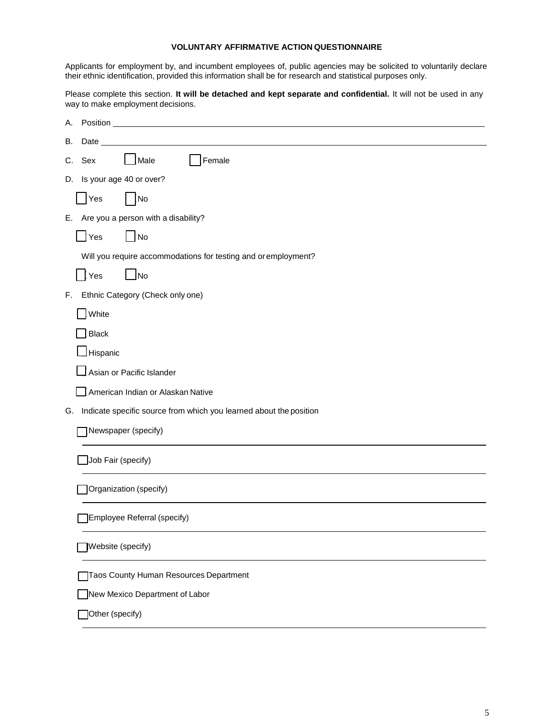#### **VOLUNTARY AFFIRMATIVE ACTION QUESTIONNAIRE**

Applicants for employment by, and incumbent employees of, public agencies may be solicited to voluntarily declare their ethnic identification, provided this information shall be for research and statistical purposes only.

Please complete this section. **It will be detached and kept separate and confidential.** It will not be used in any way to make employment decisions.

| Α.                                                                       |
|--------------------------------------------------------------------------|
| В.<br>Date                                                               |
| Male<br>Female<br>С.<br>Sex                                              |
| Is your age 40 or over?<br>D.                                            |
| Yes<br>No                                                                |
| E. Are you a person with a disability?                                   |
| Yes<br>$\Box$ No                                                         |
| Will you require accommodations for testing and or employment?           |
| $\sqrt{N}$<br>Yes                                                        |
| Ethnic Category (Check only one)<br>F.                                   |
| White                                                                    |
| $\mathbf{\}}$ Black                                                      |
| Hispanic                                                                 |
| Asian or Pacific Islander                                                |
| American Indian or Alaskan Native                                        |
| Indicate specific source from which you learned about the position<br>G. |
| Newspaper (specify)                                                      |
| Job Fair (specify)                                                       |
| Organization (specify)                                                   |
| Employee Referral (specify)                                              |
| Website (specify)                                                        |
| Taos County Human Resources Department                                   |
| New Mexico Department of Labor                                           |
| Other (specify)                                                          |